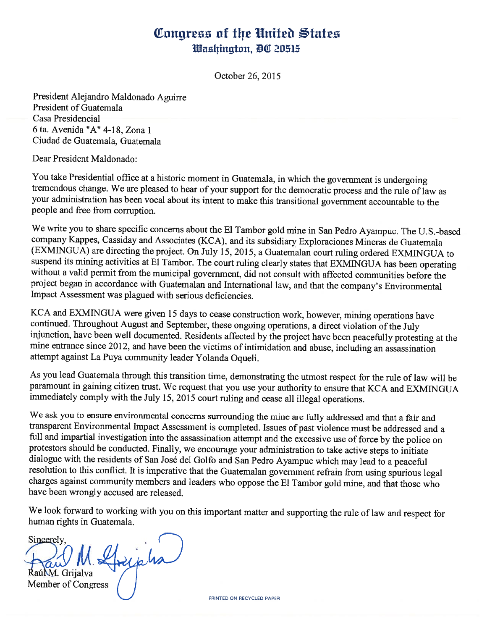## Congress of the United States Washington, DC 20515

October 26, 2015

President Alejandro Maldonado Aguirre President of Guatemala Casa Presidencial 6 ta. Avenida "A" 4-18, Zona 1 Ciudad de Guatemala, Guatemala

Dear President Maldonado:

You take Presidential office at <sup>a</sup> historic moment in Guatemala, in which the government is undergoing tremendous change. We are pleased to hear of your support for the democratic process and the rule of law as your administration has been vocal about its intent to make this transitional government accountable to the people and free from corruption.

We write you to share specific concerns about the El Tambor gold mine in San Pedro Ayampuc. The U.S.-based company Kappes, Cassiday and Associates (KCA), and its subsidiary Exploraciones Mineras de Guatemala (EXMINGUA) are directing the project. On July 15, 2015, <sup>a</sup> Guatemalan court ruling ordered EXMINGUA to suspend its mining activities at El Tambor. The court ruling clearly states that EXMINGUA has been operating without <sup>a</sup> valid permit from the municipal government, did not consult with affected communities before the project began in accordance with Guatemalan and International law, and that the company's Environmental Impact Assessment was plagued with serious deficiencies.

KCA and EXMINGUA were given 15 days to cease construction work, however, mining operations have continued. Throughout August and September, these ongoing operations, <sup>a</sup> direct violation of the July injunction, have been well documented. Residents affected by the project have been peacefully protesting at the mine entrance since 2012, and have been the victims of intimidation and abuse, including an assassination attempt against La Puya community leader Yolanda Oqueli.

As you lead Guatemala through this transition time, demonstrating the utmost respect for the rule of law will be paramount in gaining citizen trust. We request that you use your authority to ensure that KCA and EXMTNGUA immediately comply with the July 15, 2015 court ruling and cease all illegal operations.

We ask you to ensure environmental concerns surrounding the mine are fully addressed and that <sup>a</sup> fair and transparent Environmental Impact Assessment is completed. Issues of past violence must be addressed and <sup>a</sup> full and impartial investigation into the assassination attempt and the excessive use of force by the police on protestors should be conducted. Finally, we encourage your administration to take active steps to initiate dialogue with the residents of San José del Golfo and San Pedro Ayampuc which may lead to <sup>a</sup> peaceful resolution to this conflict. It is imperative that the Guatemalan government refrain from using spurious legal charges against community members and leaders who oppose the El Tambor gold mine, and that those who have been wrongly accused are released.

We look forward to working with you on this important matter and supporting the rule of law and respect for human rights in Guatemala.

Sincerely, ripha RaúM. Grijalva Member of Congress

PRINTED ON RECYCLED PAPER